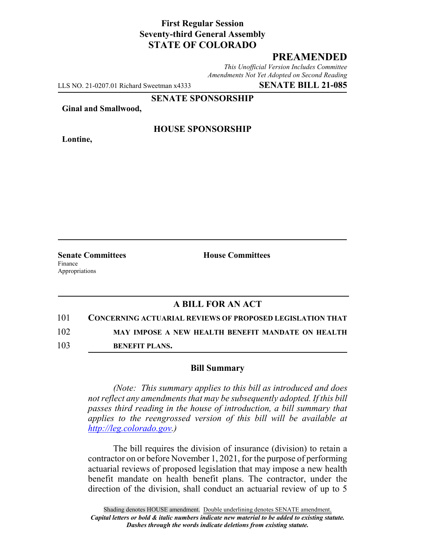# **First Regular Session Seventy-third General Assembly STATE OF COLORADO**

# **PREAMENDED**

*This Unofficial Version Includes Committee Amendments Not Yet Adopted on Second Reading*

LLS NO. 21-0207.01 Richard Sweetman x4333 **SENATE BILL 21-085**

**SENATE SPONSORSHIP**

**Ginal and Smallwood,**

**Lontine,**

#### **HOUSE SPONSORSHIP**

**Senate Committees House Committees** Finance Appropriations

# **A BILL FOR AN ACT**

101 **CONCERNING ACTUARIAL REVIEWS OF PROPOSED LEGISLATION THAT**

102 **MAY IMPOSE A NEW HEALTH BENEFIT MANDATE ON HEALTH**

103 **BENEFIT PLANS.**

### **Bill Summary**

*(Note: This summary applies to this bill as introduced and does not reflect any amendments that may be subsequently adopted. If this bill passes third reading in the house of introduction, a bill summary that applies to the reengrossed version of this bill will be available at http://leg.colorado.gov.)*

The bill requires the division of insurance (division) to retain a contractor on or before November 1, 2021, for the purpose of performing actuarial reviews of proposed legislation that may impose a new health benefit mandate on health benefit plans. The contractor, under the direction of the division, shall conduct an actuarial review of up to 5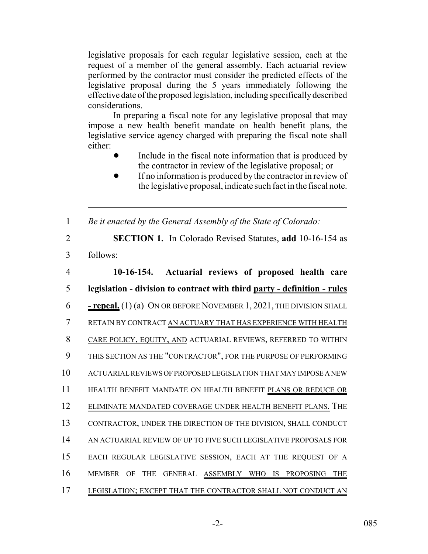legislative proposals for each regular legislative session, each at the request of a member of the general assembly. Each actuarial review performed by the contractor must consider the predicted effects of the legislative proposal during the 5 years immediately following the effective date of the proposed legislation, including specifically described considerations.

In preparing a fiscal note for any legislative proposal that may impose a new health benefit mandate on health benefit plans, the legislative service agency charged with preparing the fiscal note shall either:

- Include in the fiscal note information that is produced by the contractor in review of the legislative proposal; or
- If no information is produced by the contractor in review of the legislative proposal, indicate such fact in the fiscal note.

1 *Be it enacted by the General Assembly of the State of Colorado:*

2 **SECTION 1.** In Colorado Revised Statutes, **add** 10-16-154 as

3 follows:

 **10-16-154. Actuarial reviews of proposed health care legislation - division to contract with third party - definition - rules - repeal.** (1) (a) ON OR BEFORE NOVEMBER 1, 2021, THE DIVISION SHALL RETAIN BY CONTRACT AN ACTUARY THAT HAS EXPERIENCE WITH HEALTH CARE POLICY, EQUITY, AND ACTUARIAL REVIEWS, REFERRED TO WITHIN THIS SECTION AS THE "CONTRACTOR", FOR THE PURPOSE OF PERFORMING ACTUARIAL REVIEWS OF PROPOSED LEGISLATION THAT MAY IMPOSE A NEW HEALTH BENEFIT MANDATE ON HEALTH BENEFIT PLANS OR REDUCE OR ELIMINATE MANDATED COVERAGE UNDER HEALTH BENEFIT PLANS. THE CONTRACTOR, UNDER THE DIRECTION OF THE DIVISION, SHALL CONDUCT AN ACTUARIAL REVIEW OF UP TO FIVE SUCH LEGISLATIVE PROPOSALS FOR EACH REGULAR LEGISLATIVE SESSION, EACH AT THE REQUEST OF A MEMBER OF THE GENERAL ASSEMBLY WHO IS PROPOSING THE LEGISLATION; EXCEPT THAT THE CONTRACTOR SHALL NOT CONDUCT AN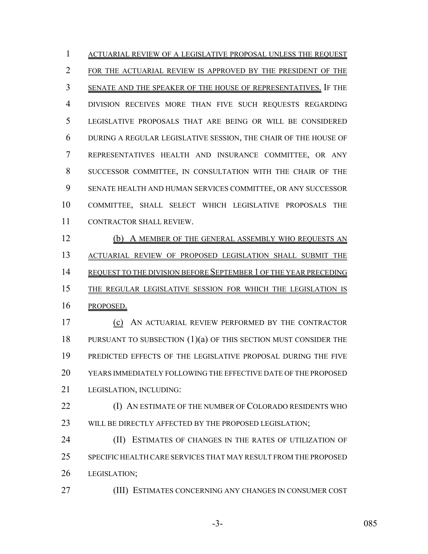1 ACTUARIAL REVIEW OF A LEGISLATIVE PROPOSAL UNLESS THE REQUEST FOR THE ACTUARIAL REVIEW IS APPROVED BY THE PRESIDENT OF THE SENATE AND THE SPEAKER OF THE HOUSE OF REPRESENTATIVES. IF THE DIVISION RECEIVES MORE THAN FIVE SUCH REQUESTS REGARDING LEGISLATIVE PROPOSALS THAT ARE BEING OR WILL BE CONSIDERED DURING A REGULAR LEGISLATIVE SESSION, THE CHAIR OF THE HOUSE OF REPRESENTATIVES HEALTH AND INSURANCE COMMITTEE, OR ANY SUCCESSOR COMMITTEE, IN CONSULTATION WITH THE CHAIR OF THE SENATE HEALTH AND HUMAN SERVICES COMMITTEE, OR ANY SUCCESSOR COMMITTEE, SHALL SELECT WHICH LEGISLATIVE PROPOSALS THE CONTRACTOR SHALL REVIEW.

12 (b) A MEMBER OF THE GENERAL ASSEMBLY WHO REQUESTS AN ACTUARIAL REVIEW OF PROPOSED LEGISLATION SHALL SUBMIT THE 14 REQUEST TO THE DIVISION BEFORE SEPTEMBER 1 OF THE YEAR PRECEDING THE REGULAR LEGISLATIVE SESSION FOR WHICH THE LEGISLATION IS PROPOSED.

 (c) AN ACTUARIAL REVIEW PERFORMED BY THE CONTRACTOR 18 PURSUANT TO SUBSECTION (1)(a) OF THIS SECTION MUST CONSIDER THE PREDICTED EFFECTS OF THE LEGISLATIVE PROPOSAL DURING THE FIVE YEARS IMMEDIATELY FOLLOWING THE EFFECTIVE DATE OF THE PROPOSED LEGISLATION, INCLUDING:

**(I) AN ESTIMATE OF THE NUMBER OF COLORADO RESIDENTS WHO** 23 WILL BE DIRECTLY AFFECTED BY THE PROPOSED LEGISLATION;

 (II) ESTIMATES OF CHANGES IN THE RATES OF UTILIZATION OF SPECIFIC HEALTH CARE SERVICES THAT MAY RESULT FROM THE PROPOSED LEGISLATION;

(III) ESTIMATES CONCERNING ANY CHANGES IN CONSUMER COST

-3- 085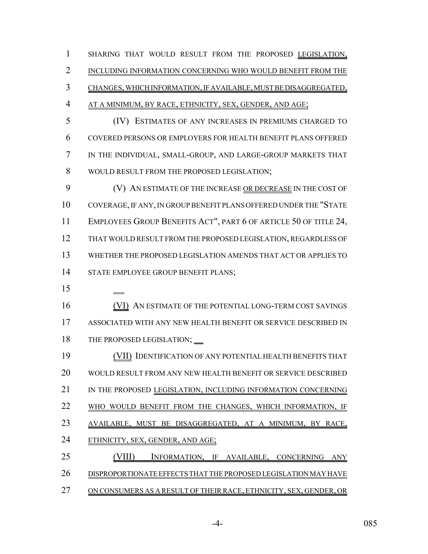SHARING THAT WOULD RESULT FROM THE PROPOSED LEGISLATION, 2 INCLUDING INFORMATION CONCERNING WHO WOULD BENEFIT FROM THE CHANGES, WHICH INFORMATION, IF AVAILABLE, MUST BE DISAGGREGATED, AT A MINIMUM, BY RACE, ETHNICITY, SEX, GENDER, AND AGE; (IV) ESTIMATES OF ANY INCREASES IN PREMIUMS CHARGED TO COVERED PERSONS OR EMPLOYERS FOR HEALTH BENEFIT PLANS OFFERED IN THE INDIVIDUAL, SMALL-GROUP, AND LARGE-GROUP MARKETS THAT WOULD RESULT FROM THE PROPOSED LEGISLATION; 9 (V) AN ESTIMATE OF THE INCREASE OR DECREASE IN THE COST OF COVERAGE, IF ANY, IN GROUP BENEFIT PLANS OFFERED UNDER THE "STATE 11 EMPLOYEES GROUP BENEFITS ACT", PART 6 OF ARTICLE 50 OF TITLE 24, THAT WOULD RESULT FROM THE PROPOSED LEGISLATION, REGARDLESS OF WHETHER THE PROPOSED LEGISLATION AMENDS THAT ACT OR APPLIES TO 14 STATE EMPLOYEE GROUP BENEFIT PLANS; (VI) AN ESTIMATE OF THE POTENTIAL LONG-TERM COST SAVINGS ASSOCIATED WITH ANY NEW HEALTH BENEFIT OR SERVICE DESCRIBED IN THE PROPOSED LEGISLATION; (VII) IDENTIFICATION OF ANY POTENTIAL HEALTH BENEFITS THAT WOULD RESULT FROM ANY NEW HEALTH BENEFIT OR SERVICE DESCRIBED 21 IN THE PROPOSED LEGISLATION, INCLUDING INFORMATION CONCERNING 22 WHO WOULD BENEFIT FROM THE CHANGES, WHICH INFORMATION, IF AVAILABLE, MUST BE DISAGGREGATED, AT A MINIMUM, BY RACE, ETHNICITY, SEX, GENDER, AND AGE; (VIII) INFORMATION, IF AVAILABLE, CONCERNING ANY DISPROPORTIONATE EFFECTS THAT THE PROPOSED LEGISLATION MAY HAVE ON CONSUMERS AS A RESULT OF THEIR RACE, ETHNICITY, SEX, GENDER, OR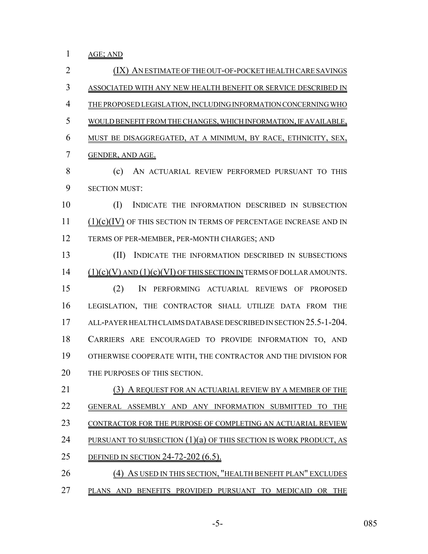AGE; AND

 (IX) AN ESTIMATE OF THE OUT-OF-POCKET HEALTH CARE SAVINGS ASSOCIATED WITH ANY NEW HEALTH BENEFIT OR SERVICE DESCRIBED IN THE PROPOSED LEGISLATION, INCLUDING INFORMATION CONCERNING WHO WOULD BENEFIT FROM THE CHANGES, WHICH INFORMATION, IF AVAILABLE, MUST BE DISAGGREGATED, AT A MINIMUM, BY RACE, ETHNICITY, SEX, GENDER, AND AGE.

 (c) AN ACTUARIAL REVIEW PERFORMED PURSUANT TO THIS SECTION MUST:

 (I) INDICATE THE INFORMATION DESCRIBED IN SUBSECTION (1)(c)(IV) OF THIS SECTION IN TERMS OF PERCENTAGE INCREASE AND IN TERMS OF PER-MEMBER, PER-MONTH CHARGES; AND

 (II) INDICATE THE INFORMATION DESCRIBED IN SUBSECTIONS (1)(c)(V) AND (1)(c)(VI) OF THIS SECTION IN TERMS OF DOLLAR AMOUNTS. (2) IN PERFORMING ACTUARIAL REVIEWS OF PROPOSED LEGISLATION, THE CONTRACTOR SHALL UTILIZE DATA FROM THE ALL-PAYER HEALTH CLAIMS DATABASE DESCRIBED IN SECTION 25.5-1-204. CARRIERS ARE ENCOURAGED TO PROVIDE INFORMATION TO, AND OTHERWISE COOPERATE WITH, THE CONTRACTOR AND THE DIVISION FOR 20 THE PURPOSES OF THIS SECTION.

 (3) A REQUEST FOR AN ACTUARIAL REVIEW BY A MEMBER OF THE GENERAL ASSEMBLY AND ANY INFORMATION SUBMITTED TO THE 23 CONTRACTOR FOR THE PURPOSE OF COMPLETING AN ACTUARIAL REVIEW 24 PURSUANT TO SUBSECTION  $(1)(a)$  OF THIS SECTION IS WORK PRODUCT, AS 25 DEFINED IN SECTION 24-72-202 (6.5).

26 (4) AS USED IN THIS SECTION, "HEALTH BENEFIT PLAN" EXCLUDES PLANS AND BENEFITS PROVIDED PURSUANT TO MEDICAID OR THE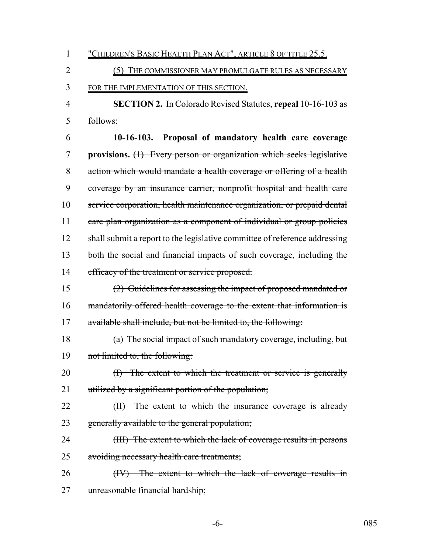1 "CHILDREN'S BASIC HEALTH PLAN ACT", ARTICLE 8 OF TITLE 25.5. 2 (5) THE COMMISSIONER MAY PROMULGATE RULES AS NECESSARY 3 FOR THE IMPLEMENTATION OF THIS SECTION. 4 **SECTION 2.** In Colorado Revised Statutes, **repeal** 10-16-103 as 5 follows: 6 **10-16-103. Proposal of mandatory health care coverage** 7 **provisions.** (1) Every person or organization which seeks legislative 8 action which would mandate a health coverage or offering of a health 9 coverage by an insurance carrier, nonprofit hospital and health care 10 service corporation, health maintenance organization, or prepaid dental 11 care plan organization as a component of individual or group policies 12 shall submit a report to the legislative committee of reference addressing 13 both the social and financial impacts of such coverage, including the 14 efficacy of the treatment or service proposed. 15 (2) Guidelines for assessing the impact of proposed mandated or 16 mandatorily offered health coverage to the extent that information is 17 available shall include, but not be limited to, the following: 18 (a) The social impact of such mandatory coverage, including, but 19 not limited to, the following: 20 (I) The extent to which the treatment or service is generally 21 utilized by a significant portion of the population; 22 (II) The extent to which the insurance coverage is already 23 generally available to the general population; 24 (III) The extent to which the lack of coverage results in persons 25 avoiding necessary health care treatments; 26 (IV) The extent to which the lack of coverage results in 27 unreasonable financial hardship;

-6- 085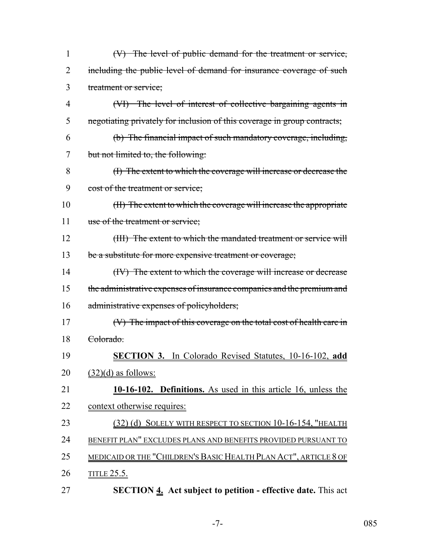| $\mathbf{1}$ | $(V)$ The level of public demand for the treatment or service,           |
|--------------|--------------------------------------------------------------------------|
| 2            | including the public level of demand for insurance coverage of such      |
| 3            | treatment or service;                                                    |
| 4            | (VI) The level of interest of collective bargaining agents in            |
| 5            | negotiating privately for inclusion of this coverage in group contracts; |
| 6            | (b) The financial impact of such mandatory coverage, including,          |
| 7            | but not limited to, the following:                                       |
| 8            | (I) The extent to which the coverage will increase or decrease the       |
| 9            | cost of the treatment or service;                                        |
| 10           | (II) The extent to which the coverage will increase the appropriate      |
| 11           | use of the treatment or service;                                         |
| 12           | (III) The extent to which the mandated treatment or service will         |
| 13           | be a substitute for more expensive treatment or coverage;                |
| 14           | (IV) The extent to which the coverage will increase or decrease          |
| 15           | the administrative expenses of insurance companies and the premium and   |
| 16           | administrative expenses of policyholders;                                |
| 17           | (V) The impact of this coverage on the total cost of health care in      |
| 18           | Colorado.                                                                |
| 19           | SECTION 3. In Colorado Revised Statutes, 10-16-102, add                  |
| 20           | $(32)(d)$ as follows:                                                    |
| 21           | 10-16-102. Definitions. As used in this article 16, unless the           |
| 22           | context otherwise requires:                                              |
| 23           | (32) (d) SOLELY WITH RESPECT TO SECTION 10-16-154, "HEALTH               |
| 24           | BENEFIT PLAN" EXCLUDES PLANS AND BENEFITS PROVIDED PURSUANT TO           |
| 25           | MEDICAID OR THE "CHILDREN'S BASIC HEALTH PLAN ACT", ARTICLE 8 OF         |
| 26           | <u>TITLE 25.5.</u>                                                       |
| 27           | <b>SECTION 4.</b> Act subject to petition - effective date. This act     |